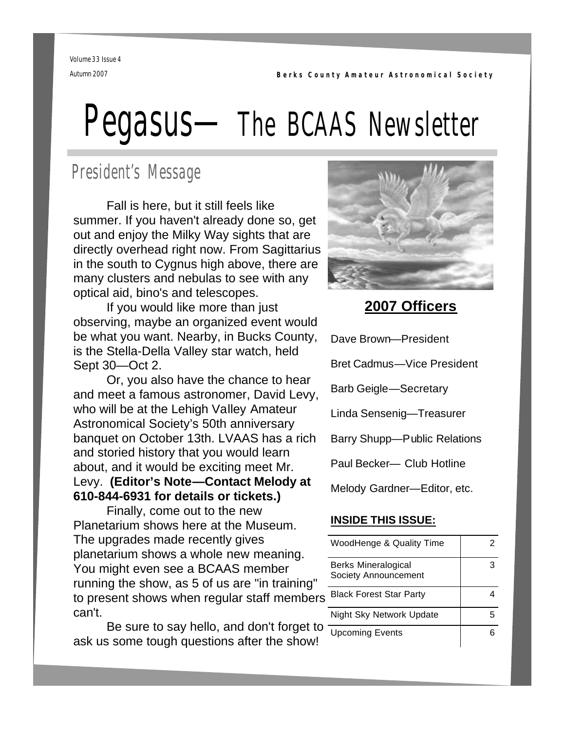**Berks County Amateur Astronomical Society**

Volume 33 Issue 4 Autumn 2007

# Pegasus—The BCAAS Newsletter

# President's Message

 Fall is here, but it still feels like summer. If you haven't already done so, get out and enjoy the Milky Way sights that are directly overhead right now. From Sagittarius in the south to Cygnus high above, there are many clusters and nebulas to see with any optical aid, bino's and telescopes.

 If you would like more than just observing, maybe an organized event would be what you want. Nearby, in Bucks County, is the Stella-Della Valley star watch, held Sept 30—Oct 2.

 Or, you also have the chance to hear and meet a famous astronomer, David Levy, who will be at the Lehigh Valley Amateur Astronomical Society's 50th anniversary banquet on October 13th. LVAAS has a rich and storied history that you would learn about, and it would be exciting meet Mr. Levy. **(Editor's Note—Contact Melody at 610-844-6931 for details or tickets.)**

 Finally, come out to the new Planetarium shows here at the Museum. The upgrades made recently gives planetarium shows a whole new meaning. You might even see a BCAAS member running the show, as 5 of us are "in training" to present shows when regular staff members can't.

 Be sure to say hello, and don't forget to ask us some tough questions after the show!



## **2007 Officers**

| Dave Brown-President              |
|-----------------------------------|
| <b>Bret Cadmus-Vice President</b> |
| <b>Barb Geigle-Secretary</b>      |
| Linda Sensenig-Treasurer          |
| Barry Shupp-Public Relations      |
| Paul Becker- Club Hotline         |
| Melody Gardner-Editor, etc.       |

## **INSIDE THIS ISSUE:**

| WoodHenge & Quality Time                           |  |
|----------------------------------------------------|--|
| <b>Berks Mineralogical</b><br>Society Announcement |  |
| <b>Black Forest Star Party</b>                     |  |
| Night Sky Network Update                           |  |
| <b>Upcoming Events</b>                             |  |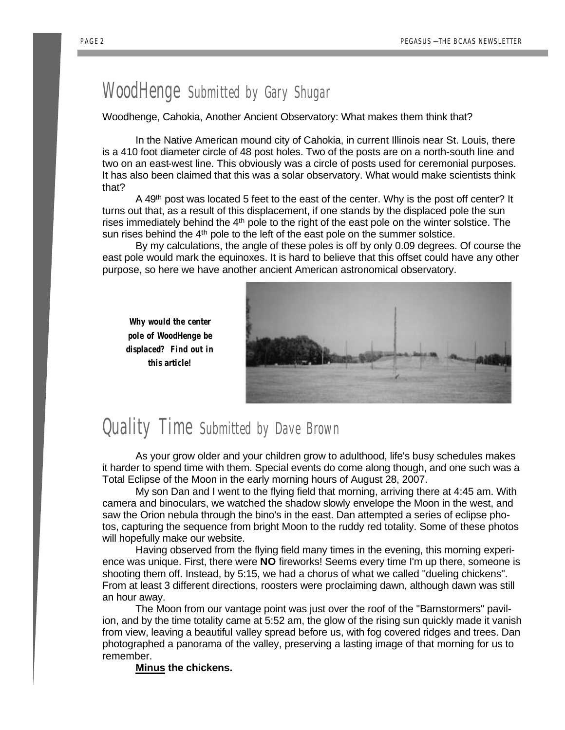#### PAGE 2

## WoodHenge Submitted by Gary Shugar

Woodhenge, Cahokia, Another Ancient Observatory: What makes them think that?

 In the Native American mound city of Cahokia, in current Illinois near St. Louis, there is a 410 foot diameter circle of 48 post holes. Two of the posts are on a north-south line and two on an east-west line. This obviously was a circle of posts used for ceremonial purposes. It has also been claimed that this was a solar observatory. What would make scientists think that?

A 49<sup>th</sup> post was located 5 feet to the east of the center. Why is the post off center? It turns out that, as a result of this displacement, if one stands by the displaced pole the sun rises immediately behind the 4<sup>th</sup> pole to the right of the east pole on the winter solstice. The sun rises behind the 4<sup>th</sup> pole to the left of the east pole on the summer solstice.

 By my calculations, the angle of these poles is off by only 0.09 degrees. Of course the east pole would mark the equinoxes. It is hard to believe that this offset could have any other purpose, so here we have another ancient American astronomical observatory.





# Quality Time Submitted by Dave Brown

 As your grow older and your children grow to adulthood, life's busy schedules makes it harder to spend time with them. Special events do come along though, and one such was a Total Eclipse of the Moon in the early morning hours of August 28, 2007.

 My son Dan and I went to the flying field that morning, arriving there at 4:45 am. With camera and binoculars, we watched the shadow slowly envelope the Moon in the west, and saw the Orion nebula through the bino's in the east. Dan attempted a series of eclipse photos, capturing the sequence from bright Moon to the ruddy red totality. Some of these photos will hopefully make our website.

 Having observed from the flying field many times in the evening, this morning experience was unique. First, there were **NO** fireworks! Seems every time I'm up there, someone is shooting them off. Instead, by 5:15, we had a chorus of what we called "dueling chickens". From at least 3 different directions, roosters were proclaiming dawn, although dawn was still an hour away.

 The Moon from our vantage point was just over the roof of the "Barnstormers" pavilion, and by the time totality came at 5:52 am, the glow of the rising sun quickly made it vanish from view, leaving a beautiful valley spread before us, with fog covered ridges and trees. Dan photographed a panorama of the valley, preserving a lasting image of that morning for us to remember.

**Minus the chickens.**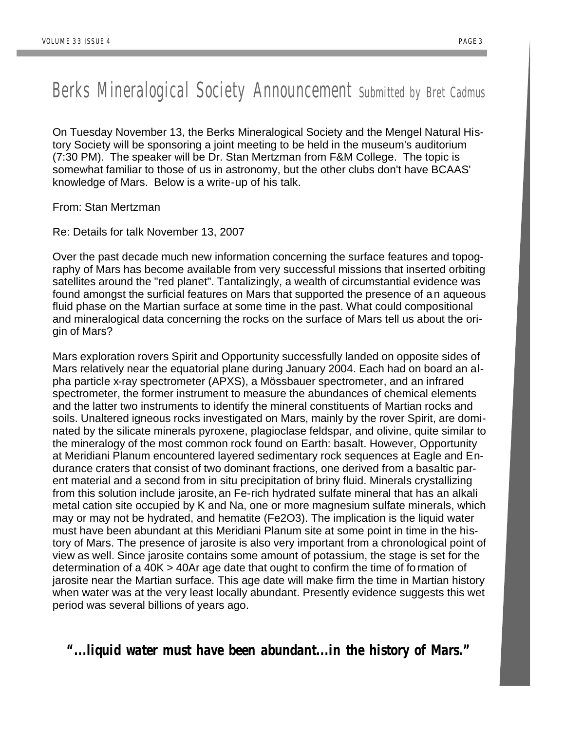# Berks Mineralogical Society Announcement Submitted by Bret Cadmus

On Tuesday November 13, the Berks Mineralogical Society and the Mengel Natural History Society will be sponsoring a joint meeting to be held in the museum's auditorium (7:30 PM). The speaker will be Dr. Stan Mertzman from F&M College. The topic is somewhat familiar to those of us in astronomy, but the other clubs don't have BCAAS' knowledge of Mars. Below is a write-up of his talk.

From: Stan Mertzman

Re: Details for talk November 13, 2007

Over the past decade much new information concerning the surface features and topography of Mars has become available from very successful missions that inserted orbiting satellites around the "red planet". Tantalizingly, a wealth of circumstantial evidence was found amongst the surficial features on Mars that supported the presence of an aqueous fluid phase on the Martian surface at some time in the past. What could compositional and mineralogical data concerning the rocks on the surface of Mars tell us about the origin of Mars?

Mars exploration rovers Spirit and Opportunity successfully landed on opposite sides of Mars relatively near the equatorial plane during January 2004. Each had on board an alpha particle x-ray spectrometer (APXS), a Mössbauer spectrometer, and an infrared spectrometer, the former instrument to measure the abundances of chemical elements and the latter two instruments to identify the mineral constituents of Martian rocks and soils. Unaltered igneous rocks investigated on Mars, mainly by the rover Spirit, are dominated by the silicate minerals pyroxene, plagioclase feldspar, and olivine, quite similar to the mineralogy of the most common rock found on Earth: basalt. However, Opportunity at Meridiani Planum encountered layered sedimentary rock sequences at Eagle and Endurance craters that consist of two dominant fractions, one derived from a basaltic parent material and a second from in situ precipitation of briny fluid. Minerals crystallizing from this solution include jarosite, an Fe-rich hydrated sulfate mineral that has an alkali metal cation site occupied by K and Na, one or more magnesium sulfate minerals, which may or may not be hydrated, and hematite (Fe2O3). The implication is the liquid water must have been abundant at this Meridiani Planum site at some point in time in the history of Mars. The presence of jarosite is also very important from a chronological point of view as well. Since jarosite contains some amount of potassium, the stage is set for the determination of a 40K > 40Ar age date that ought to confirm the time of formation of jarosite near the Martian surface. This age date will make firm the time in Martian history when water was at the very least locally abundant. Presently evidence suggests this wet period was several billions of years ago.

## **"...liquid water must have been abundant...in the history of Mars."**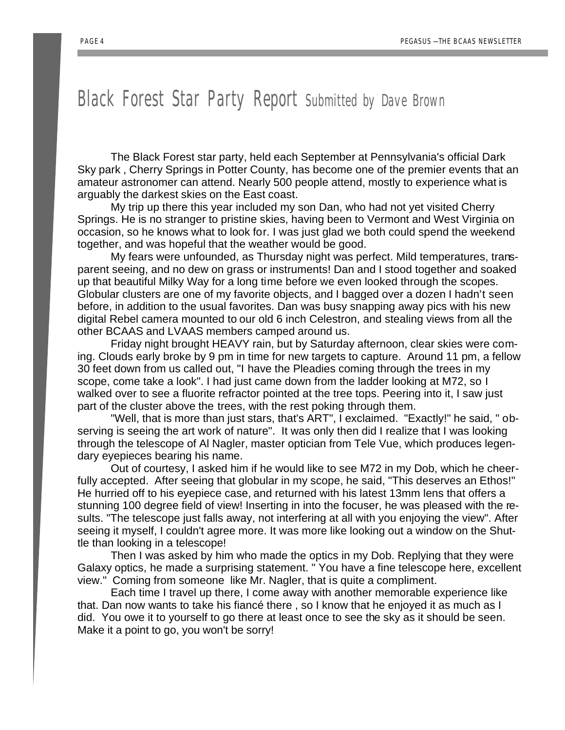## Black Forest Star Party Report Submitted by Dave Brown

 The Black Forest star party, held each September at Pennsylvania's official Dark Sky park , Cherry Springs in Potter County, has become one of the premier events that an amateur astronomer can attend. Nearly 500 people attend, mostly to experience what is arguably the darkest skies on the East coast.

 My trip up there this year included my son Dan, who had not yet visited Cherry Springs. He is no stranger to pristine skies, having been to Vermont and West Virginia on occasion, so he knows what to look for. I was just glad we both could spend the weekend together, and was hopeful that the weather would be good.

 My fears were unfounded, as Thursday night was perfect. Mild temperatures, transparent seeing, and no dew on grass or instruments! Dan and I stood together and soaked up that beautiful Milky Way for a long time before we even looked through the scopes. Globular clusters are one of my favorite objects, and I bagged over a dozen I hadn't seen before, in addition to the usual favorites. Dan was busy snapping away pics with his new digital Rebel camera mounted to our old 6 inch Celestron, and stealing views from all the other BCAAS and LVAAS members camped around us.

 Friday night brought HEAVY rain, but by Saturday afternoon, clear skies were coming. Clouds early broke by 9 pm in time for new targets to capture. Around 11 pm, a fellow 30 feet down from us called out, "I have the Pleadies coming through the trees in my scope, come take a look". I had just came down from the ladder looking at M72, so I walked over to see a fluorite refractor pointed at the tree tops. Peering into it, I saw just part of the cluster above the trees, with the rest poking through them.

 "Well, that is more than just stars, that's ART", I exclaimed. "Exactly!" he said, " observing is seeing the art work of nature". It was only then did I realize that I was looking through the telescope of Al Nagler, master optician from Tele Vue, which produces legendary eyepieces bearing his name.

 Out of courtesy, I asked him if he would like to see M72 in my Dob, which he cheerfully accepted. After seeing that globular in my scope, he said, "This deserves an Ethos!" He hurried off to his eyepiece case, and returned with his latest 13mm lens that offers a stunning 100 degree field of view! Inserting in into the focuser, he was pleased with the results. "The telescope just falls away, not interfering at all with you enjoying the view". After seeing it myself, I couldn't agree more. It was more like looking out a window on the Shuttle than looking in a telescope!

 Then I was asked by him who made the optics in my Dob. Replying that they were Galaxy optics, he made a surprising statement. " You have a fine telescope here, excellent view." Coming from someone like Mr. Nagler, that is quite a compliment.

 Each time I travel up there, I come away with another memorable experience like that. Dan now wants to take his fiancé there , so I know that he enjoyed it as much as I did. You owe it to yourself to go there at least once to see the sky as it should be seen. Make it a point to go, you won't be sorry!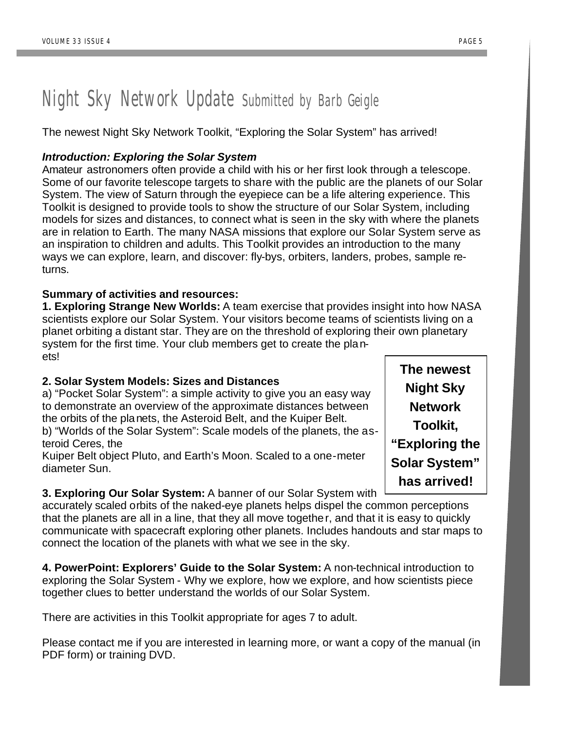# Night Sky Network Update Submitted by Barb Geigle

The newest Night Sky Network Toolkit, "Exploring the Solar System" has arrived!

## *Introduction: Exploring the Solar System*

Amateur astronomers often provide a child with his or her first look through a telescope. Some of our favorite telescope targets to share with the public are the planets of our Solar System. The view of Saturn through the eyepiece can be a life altering experience. This Toolkit is designed to provide tools to show the structure of our Solar System, including models for sizes and distances, to connect what is seen in the sky with where the planets are in relation to Earth. The many NASA missions that explore our Solar System serve as an inspiration to children and adults. This Toolkit provides an introduction to the many ways we can explore, learn, and discover: fly-bys, orbiters, landers, probes, sample returns.

### **Summary of activities and resources:**

**1. Exploring Strange New Worlds:** A team exercise that provides insight into how NASA scientists explore our Solar System. Your visitors become teams of scientists living on a planet orbiting a distant star. They are on the threshold of exploring their own planetary system for the first time. Your club members get to create the planets!

### **2. Solar System Models: Sizes and Distances**

a) "Pocket Solar System": a simple activity to give you an easy way to demonstrate an overview of the approximate distances between the orbits of the planets, the Asteroid Belt, and the Kuiper Belt. b) "Worlds of the Solar System": Scale models of the planets, the asteroid Ceres, the

Kuiper Belt object Pluto, and Earth's Moon. Scaled to a one-meter diameter Sun.

## **3. Exploring Our Solar System:** A banner of our Solar System with

accurately scaled orbits of the naked-eye planets helps dispel the common perceptions that the planets are all in a line, that they all move together, and that it is easy to quickly communicate with spacecraft exploring other planets. Includes handouts and star maps to connect the location of the planets with what we see in the sky.

**4. PowerPoint: Explorers' Guide to the Solar System:** A non-technical introduction to exploring the Solar System - Why we explore, how we explore, and how scientists piece together clues to better understand the worlds of our Solar System.

There are activities in this Toolkit appropriate for ages 7 to adult.

Please contact me if you are interested in learning more, or want a copy of the manual (in PDF form) or training DVD.

**The newest Night Sky Network Toolkit, "Exploring the Solar System" has arrived!**